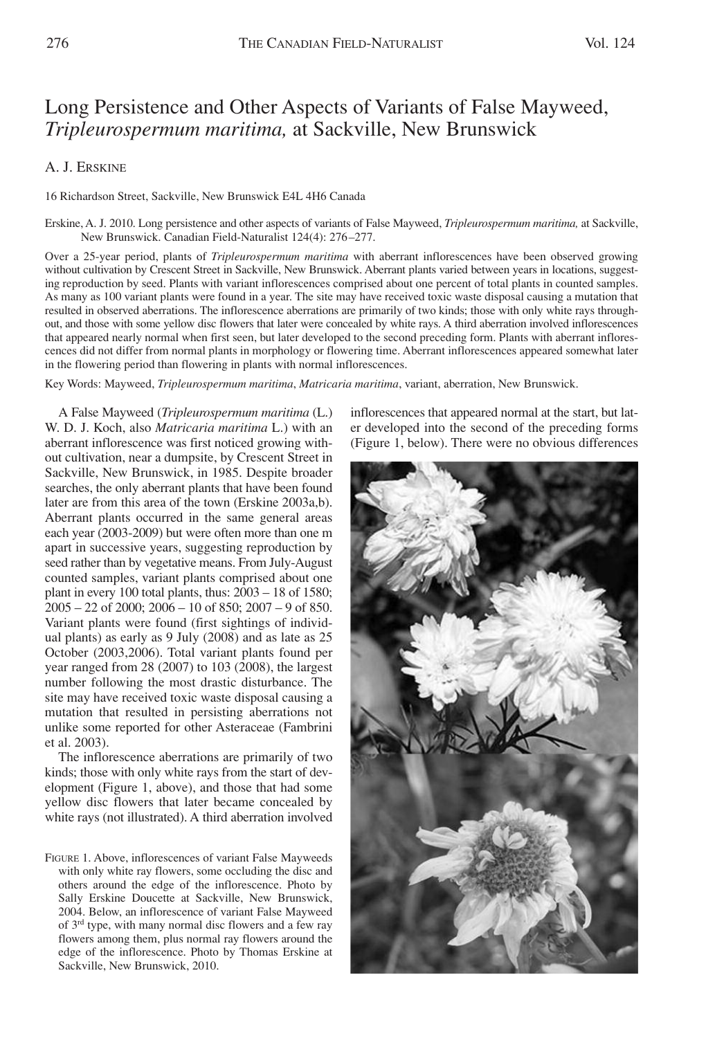## Long Persistence and Other Aspects of Variants of False Mayweed, *Tripleurospermum maritima,* at Sackville, New Brunswick

## A. J. ERSKINE

16 Richardson Street, Sackville, New Brunswick E4L 4H6 Canada

Erskine, A. J. 2010. Long persistence and other aspects of variants of False Mayweed, *Tripleurospermum maritima,* at Sackville, New Brunswick. Canadian Field-Naturalist 124(4): 276–277.

Over a 25-year period, plants of *Tripleurospermum maritima* with aberrant inflorescences have been observed growing without cultivation by Crescent Street in Sackville, New Brunswick. Aberrant plants varied between years in locations, suggesting reproduction by seed. Plants with variant inflorescences comprised about one percent of total plants in counted samples. As many as 100 variant plants were found in a year. The site may have received toxic waste disposal causing a mutation that resulted in observed aberrations. The inflorescence aberrations are primarily of two kinds; those with only white rays throughout, and those with some yellow disc flowers that later were concealed by white rays. A third aberration involved inflorescences that appeared nearly normal when first seen, but later developed to the second preceding form. Plants with aberrant inflorescences did not differ from normal plants in morphology or flowering time. Aberrant inflorescences appeared somewhat later in the flowering period than flowering in plants with normal inflorescences.

Key Words: Mayweed, *Tripleurospermum maritima*, *Matricaria maritima*, variant, aberration, New Brunswick.

A False Mayweed (*Tripleurospermum maritima* (L.) W. D. J. Koch, also *Matricaria maritima* L.) with an aberrant inflorescence was first noticed growing without cultivation, near a dumpsite, by Crescent Street in Sackville, New Brunswick, in 1985. Despite broader searches, the only aberrant plants that have been found later are from this area of the town (Erskine 2003a,b). Aberrant plants occurred in the same general areas each year (2003-2009) but were often more than one m apart in successive years, suggesting reproduction by seed rather than by vegetative means. From July-August counted samples, variant plants comprised about one plant in every 100 total plants, thus: 2003 – 18 of 1580;  $2005 - 22$  of  $2000$ ;  $2006 - 10$  of  $850$ ;  $2007 - 9$  of  $850$ . Variant plants were found (first sightings of individual plants) as early as 9 July (2008) and as late as 25 October (2003,2006). Total variant plants found per year ranged from 28 (2007) to 103 (2008), the largest number following the most drastic disturbance. The site may have received toxic waste disposal causing a mutation that resulted in persisting aberrations not unlike some reported for other Asteraceae (Fambrini et al. 2003).

The inflorescence aberrations are primarily of two kinds; those with only white rays from the start of development (Figure 1, above), and those that had some yellow disc flowers that later became concealed by white rays (not illustrated). A third aberration involved

FIGURE 1. Above, inflorescences of variant False Mayweeds with only white ray flowers, some occluding the disc and others around the edge of the inflorescence. Photo by Sally Erskine Doucette at Sackville, New Brunswick, 2004. Below, an inflorescence of variant False Mayweed of 3rd type, with many normal disc flowers and a few ray flowers among them, plus normal ray flowers around the edge of the inflorescence. Photo by Thomas Erskine at Sackville, New Brunswick, 2010.

inflorescences that appeared normal at the start, but later developed into the second of the preceding forms (Figure 1, below). There were no obvious differences